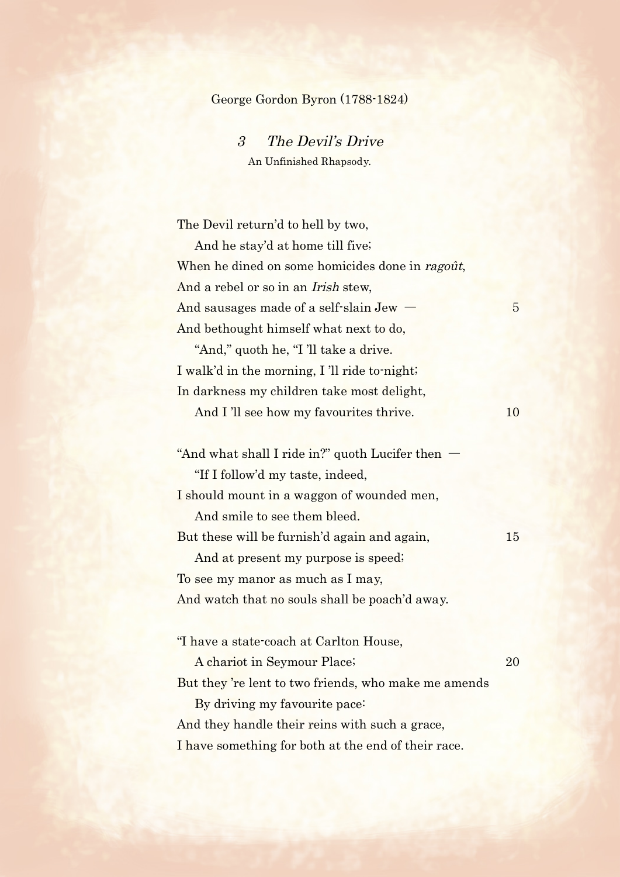## George Gordon Byron (1788-1824)

3 The Devil's Drive An Unfinished Rhapsody.

The Devil return'd to hell by two, And he stay'd at home till five; When he dined on some homicides done in ragout, And a rebel or so in an Irish stew, And sausages made of a self-slain  $Jew - 5$ And bethought himself what next to do, "And," quoth he, "I 'll take a drive. I walk'd in the morning, I 'll ride to-night; In darkness my children take most delight, And I'll see how my favourites thrive. 10 "And what shall I ride in?" quoth Lucifer then "If I follow'd my taste, indeed, I should mount in a waggon of wounded men, And smile to see them bleed. But these will be furnish'd again and again, 15 And at present my purpose is speed; To see my manor as much as I may, And watch that no souls shall be poach'd away. "I have a state-coach at Carlton House, A chariot in Seymour Place; 20 But they 're lent to two friends, who make me amends By driving my favourite pace: And they handle their reins with such a grace, I have something for both at the end of their race.